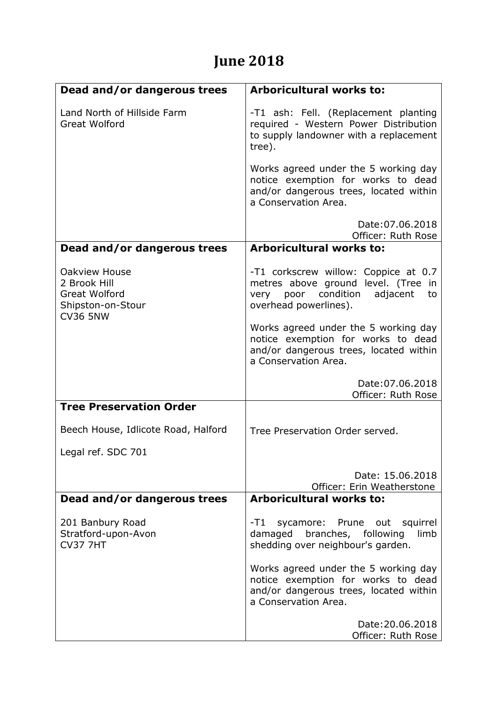## **June 2018**

| Dead and/or dangerous trees                                                                   | <b>Arboricultural works to:</b>                                                                                                                  |
|-----------------------------------------------------------------------------------------------|--------------------------------------------------------------------------------------------------------------------------------------------------|
| Land North of Hillside Farm<br><b>Great Wolford</b>                                           | -T1 ash: Fell. (Replacement planting<br>required - Western Power Distribution<br>to supply landowner with a replacement<br>tree).                |
|                                                                                               | Works agreed under the 5 working day<br>notice exemption for works to dead<br>and/or dangerous trees, located within<br>a Conservation Area.     |
|                                                                                               | Date: 07.06.2018<br>Officer: Ruth Rose                                                                                                           |
| Dead and/or dangerous trees                                                                   | <b>Arboricultural works to:</b>                                                                                                                  |
| Oakview House<br>2 Brook Hill<br><b>Great Wolford</b><br>Shipston-on-Stour<br><b>CV36 5NW</b> | -T1 corkscrew willow: Coppice at 0.7<br>metres above ground level. (Tree in<br>poor condition<br>adjacent<br>very<br>to<br>overhead powerlines). |
|                                                                                               | Works agreed under the 5 working day<br>notice exemption for works to dead<br>and/or dangerous trees, located within<br>a Conservation Area.     |
|                                                                                               | Date: 07.06.2018<br>Officer: Ruth Rose                                                                                                           |
| <b>Tree Preservation Order</b>                                                                |                                                                                                                                                  |
| Beech House, Idlicote Road, Halford                                                           | Tree Preservation Order served.                                                                                                                  |
| Legal ref. SDC 701                                                                            |                                                                                                                                                  |
|                                                                                               | Date: 15.06.2018<br>Officer: Erin Weatherstone                                                                                                   |
| Dead and/or dangerous trees                                                                   | Arboricultural works to:                                                                                                                         |
| 201 Banbury Road<br>Stratford-upon-Avon<br><b>CV37 7HT</b>                                    | -T1 -<br>sycamore: Prune out squirrel<br>damaged branches, following<br>limb<br>shedding over neighbour's garden.                                |
|                                                                                               | Works agreed under the 5 working day<br>notice exemption for works to dead<br>and/or dangerous trees, located within<br>a Conservation Area.     |
|                                                                                               | Date: 20.06.2018<br>Officer: Ruth Rose                                                                                                           |